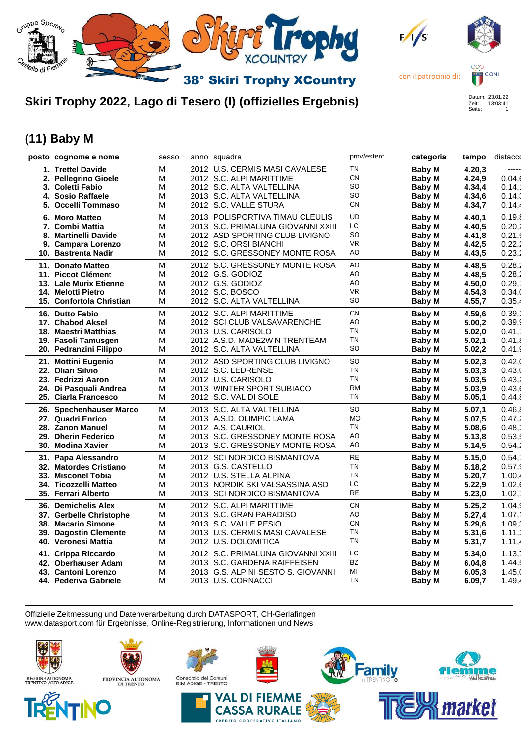

#### **Skiri Trophy 2022, Lago di Tesero (I) (offizielles Ergebnis)**

# Zeit: 13:03:41 Seite: 1

## **(11) Baby M**

|                          | sesso                                                                                                                                                                                                                                                                                                                                                                                                                                                                                                                                                                                                                                                                                                                                                                                                                                                                                                                                                                                                                                            |  | prov/estero                                                                                                                                                                                                                                                                                                                                                                                                                                                                                                                                                                                                                                                                                                                                                                                                                                                                                                                                                                                                                                                                                                                                                                                                                                                                                                                      | categoria     | tempo  | distacco |
|--------------------------|--------------------------------------------------------------------------------------------------------------------------------------------------------------------------------------------------------------------------------------------------------------------------------------------------------------------------------------------------------------------------------------------------------------------------------------------------------------------------------------------------------------------------------------------------------------------------------------------------------------------------------------------------------------------------------------------------------------------------------------------------------------------------------------------------------------------------------------------------------------------------------------------------------------------------------------------------------------------------------------------------------------------------------------------------|--|----------------------------------------------------------------------------------------------------------------------------------------------------------------------------------------------------------------------------------------------------------------------------------------------------------------------------------------------------------------------------------------------------------------------------------------------------------------------------------------------------------------------------------------------------------------------------------------------------------------------------------------------------------------------------------------------------------------------------------------------------------------------------------------------------------------------------------------------------------------------------------------------------------------------------------------------------------------------------------------------------------------------------------------------------------------------------------------------------------------------------------------------------------------------------------------------------------------------------------------------------------------------------------------------------------------------------------|---------------|--------|----------|
|                          | Μ                                                                                                                                                                                                                                                                                                                                                                                                                                                                                                                                                                                                                                                                                                                                                                                                                                                                                                                                                                                                                                                |  | <b>TN</b>                                                                                                                                                                                                                                                                                                                                                                                                                                                                                                                                                                                                                                                                                                                                                                                                                                                                                                                                                                                                                                                                                                                                                                                                                                                                                                                        | Baby M        | 4.20,3 | -----    |
|                          | M                                                                                                                                                                                                                                                                                                                                                                                                                                                                                                                                                                                                                                                                                                                                                                                                                                                                                                                                                                                                                                                |  | <b>CN</b>                                                                                                                                                                                                                                                                                                                                                                                                                                                                                                                                                                                                                                                                                                                                                                                                                                                                                                                                                                                                                                                                                                                                                                                                                                                                                                                        | <b>Baby M</b> | 4.24,9 | 0.04,6   |
|                          | M                                                                                                                                                                                                                                                                                                                                                                                                                                                                                                                                                                                                                                                                                                                                                                                                                                                                                                                                                                                                                                                |  | SO                                                                                                                                                                                                                                                                                                                                                                                                                                                                                                                                                                                                                                                                                                                                                                                                                                                                                                                                                                                                                                                                                                                                                                                                                                                                                                                               | Baby M        | 4.34,4 | 0.14, ?  |
|                          | M                                                                                                                                                                                                                                                                                                                                                                                                                                                                                                                                                                                                                                                                                                                                                                                                                                                                                                                                                                                                                                                |  | SO.                                                                                                                                                                                                                                                                                                                                                                                                                                                                                                                                                                                                                                                                                                                                                                                                                                                                                                                                                                                                                                                                                                                                                                                                                                                                                                                              |               |        | 0.14,3   |
|                          | M                                                                                                                                                                                                                                                                                                                                                                                                                                                                                                                                                                                                                                                                                                                                                                                                                                                                                                                                                                                                                                                |  | <b>CN</b>                                                                                                                                                                                                                                                                                                                                                                                                                                                                                                                                                                                                                                                                                                                                                                                                                                                                                                                                                                                                                                                                                                                                                                                                                                                                                                                        | <b>Baby M</b> | 4.34,7 | 0.14,4   |
|                          | M                                                                                                                                                                                                                                                                                                                                                                                                                                                                                                                                                                                                                                                                                                                                                                                                                                                                                                                                                                                                                                                |  | UD                                                                                                                                                                                                                                                                                                                                                                                                                                                                                                                                                                                                                                                                                                                                                                                                                                                                                                                                                                                                                                                                                                                                                                                                                                                                                                                               | Baby M        | 4.40,1 | 0.19,8   |
|                          | M                                                                                                                                                                                                                                                                                                                                                                                                                                                                                                                                                                                                                                                                                                                                                                                                                                                                                                                                                                                                                                                |  | LC.                                                                                                                                                                                                                                                                                                                                                                                                                                                                                                                                                                                                                                                                                                                                                                                                                                                                                                                                                                                                                                                                                                                                                                                                                                                                                                                              | <b>Baby M</b> | 4.40,5 | 0.20,2   |
| <b>Martinelli Davide</b> | M                                                                                                                                                                                                                                                                                                                                                                                                                                                                                                                                                                                                                                                                                                                                                                                                                                                                                                                                                                                                                                                |  | SO                                                                                                                                                                                                                                                                                                                                                                                                                                                                                                                                                                                                                                                                                                                                                                                                                                                                                                                                                                                                                                                                                                                                                                                                                                                                                                                               | Baby M        | 4.41,8 | 0.21,5   |
|                          | M                                                                                                                                                                                                                                                                                                                                                                                                                                                                                                                                                                                                                                                                                                                                                                                                                                                                                                                                                                                                                                                |  | <b>VR</b>                                                                                                                                                                                                                                                                                                                                                                                                                                                                                                                                                                                                                                                                                                                                                                                                                                                                                                                                                                                                                                                                                                                                                                                                                                                                                                                        | Baby M        | 4.42,5 | 0.22,2   |
|                          | M                                                                                                                                                                                                                                                                                                                                                                                                                                                                                                                                                                                                                                                                                                                                                                                                                                                                                                                                                                                                                                                |  | AO                                                                                                                                                                                                                                                                                                                                                                                                                                                                                                                                                                                                                                                                                                                                                                                                                                                                                                                                                                                                                                                                                                                                                                                                                                                                                                                               | Baby M        | 4.43,5 | 0.23,2   |
|                          | M                                                                                                                                                                                                                                                                                                                                                                                                                                                                                                                                                                                                                                                                                                                                                                                                                                                                                                                                                                                                                                                |  | AO                                                                                                                                                                                                                                                                                                                                                                                                                                                                                                                                                                                                                                                                                                                                                                                                                                                                                                                                                                                                                                                                                                                                                                                                                                                                                                                               | Baby M        | 4.48,5 | 0.28,2   |
|                          | M                                                                                                                                                                                                                                                                                                                                                                                                                                                                                                                                                                                                                                                                                                                                                                                                                                                                                                                                                                                                                                                |  | AO                                                                                                                                                                                                                                                                                                                                                                                                                                                                                                                                                                                                                                                                                                                                                                                                                                                                                                                                                                                                                                                                                                                                                                                                                                                                                                                               | Baby M        | 4.48,5 | 0.28,2   |
|                          | M                                                                                                                                                                                                                                                                                                                                                                                                                                                                                                                                                                                                                                                                                                                                                                                                                                                                                                                                                                                                                                                |  | AO                                                                                                                                                                                                                                                                                                                                                                                                                                                                                                                                                                                                                                                                                                                                                                                                                                                                                                                                                                                                                                                                                                                                                                                                                                                                                                                               | Baby M        | 4.50,0 | 0.29,7   |
|                          | M                                                                                                                                                                                                                                                                                                                                                                                                                                                                                                                                                                                                                                                                                                                                                                                                                                                                                                                                                                                                                                                |  | <b>VR</b>                                                                                                                                                                                                                                                                                                                                                                                                                                                                                                                                                                                                                                                                                                                                                                                                                                                                                                                                                                                                                                                                                                                                                                                                                                                                                                                        | Baby M        | 4.54,3 | 0.34,0   |
|                          | M                                                                                                                                                                                                                                                                                                                                                                                                                                                                                                                                                                                                                                                                                                                                                                                                                                                                                                                                                                                                                                                |  | <b>SO</b>                                                                                                                                                                                                                                                                                                                                                                                                                                                                                                                                                                                                                                                                                                                                                                                                                                                                                                                                                                                                                                                                                                                                                                                                                                                                                                                        | Baby M        | 4.55,7 | 0.35,4   |
|                          | M                                                                                                                                                                                                                                                                                                                                                                                                                                                                                                                                                                                                                                                                                                                                                                                                                                                                                                                                                                                                                                                |  | <b>CN</b>                                                                                                                                                                                                                                                                                                                                                                                                                                                                                                                                                                                                                                                                                                                                                                                                                                                                                                                                                                                                                                                                                                                                                                                                                                                                                                                        | Baby M        | 4.59,6 | 0.39,3   |
|                          | M                                                                                                                                                                                                                                                                                                                                                                                                                                                                                                                                                                                                                                                                                                                                                                                                                                                                                                                                                                                                                                                |  | AO                                                                                                                                                                                                                                                                                                                                                                                                                                                                                                                                                                                                                                                                                                                                                                                                                                                                                                                                                                                                                                                                                                                                                                                                                                                                                                                               | Baby M        | 5.00,2 | 0.39,9   |
|                          | M                                                                                                                                                                                                                                                                                                                                                                                                                                                                                                                                                                                                                                                                                                                                                                                                                                                                                                                                                                                                                                                |  | TN                                                                                                                                                                                                                                                                                                                                                                                                                                                                                                                                                                                                                                                                                                                                                                                                                                                                                                                                                                                                                                                                                                                                                                                                                                                                                                                               | Baby M        | 5.02,0 | 0.41,7   |
|                          | M                                                                                                                                                                                                                                                                                                                                                                                                                                                                                                                                                                                                                                                                                                                                                                                                                                                                                                                                                                                                                                                |  | TN                                                                                                                                                                                                                                                                                                                                                                                                                                                                                                                                                                                                                                                                                                                                                                                                                                                                                                                                                                                                                                                                                                                                                                                                                                                                                                                               | Baby M        | 5.02,1 | 0.41,8   |
|                          | M                                                                                                                                                                                                                                                                                                                                                                                                                                                                                                                                                                                                                                                                                                                                                                                                                                                                                                                                                                                                                                                |  | SO                                                                                                                                                                                                                                                                                                                                                                                                                                                                                                                                                                                                                                                                                                                                                                                                                                                                                                                                                                                                                                                                                                                                                                                                                                                                                                                               | Baby M        | 5.02,2 | 0.41,    |
|                          | M                                                                                                                                                                                                                                                                                                                                                                                                                                                                                                                                                                                                                                                                                                                                                                                                                                                                                                                                                                                                                                                |  | <b>SO</b>                                                                                                                                                                                                                                                                                                                                                                                                                                                                                                                                                                                                                                                                                                                                                                                                                                                                                                                                                                                                                                                                                                                                                                                                                                                                                                                        | Baby M        | 5.02,3 | 0.42,    |
|                          | M                                                                                                                                                                                                                                                                                                                                                                                                                                                                                                                                                                                                                                                                                                                                                                                                                                                                                                                                                                                                                                                |  | <b>TN</b>                                                                                                                                                                                                                                                                                                                                                                                                                                                                                                                                                                                                                                                                                                                                                                                                                                                                                                                                                                                                                                                                                                                                                                                                                                                                                                                        | Baby M        | 5.03,3 | 0.43,    |
|                          | M                                                                                                                                                                                                                                                                                                                                                                                                                                                                                                                                                                                                                                                                                                                                                                                                                                                                                                                                                                                                                                                |  | TN                                                                                                                                                                                                                                                                                                                                                                                                                                                                                                                                                                                                                                                                                                                                                                                                                                                                                                                                                                                                                                                                                                                                                                                                                                                                                                                               | Baby M        | 5.03,5 | 0.43,2   |
|                          | M                                                                                                                                                                                                                                                                                                                                                                                                                                                                                                                                                                                                                                                                                                                                                                                                                                                                                                                                                                                                                                                |  | <b>RM</b>                                                                                                                                                                                                                                                                                                                                                                                                                                                                                                                                                                                                                                                                                                                                                                                                                                                                                                                                                                                                                                                                                                                                                                                                                                                                                                                        | Baby M        | 5.03,9 | 0.43,6   |
|                          | M                                                                                                                                                                                                                                                                                                                                                                                                                                                                                                                                                                                                                                                                                                                                                                                                                                                                                                                                                                                                                                                |  | <b>TN</b>                                                                                                                                                                                                                                                                                                                                                                                                                                                                                                                                                                                                                                                                                                                                                                                                                                                                                                                                                                                                                                                                                                                                                                                                                                                                                                                        | Baby M        | 5.05,1 | 0.44,8   |
|                          | M                                                                                                                                                                                                                                                                                                                                                                                                                                                                                                                                                                                                                                                                                                                                                                                                                                                                                                                                                                                                                                                |  | <b>SO</b>                                                                                                                                                                                                                                                                                                                                                                                                                                                                                                                                                                                                                                                                                                                                                                                                                                                                                                                                                                                                                                                                                                                                                                                                                                                                                                                        | Baby M        | 5.07,1 | 0.46.8   |
|                          | M                                                                                                                                                                                                                                                                                                                                                                                                                                                                                                                                                                                                                                                                                                                                                                                                                                                                                                                                                                                                                                                |  | <b>MO</b>                                                                                                                                                                                                                                                                                                                                                                                                                                                                                                                                                                                                                                                                                                                                                                                                                                                                                                                                                                                                                                                                                                                                                                                                                                                                                                                        | <b>Baby M</b> | 5.07,5 | 0.47,2   |
|                          | M                                                                                                                                                                                                                                                                                                                                                                                                                                                                                                                                                                                                                                                                                                                                                                                                                                                                                                                                                                                                                                                |  | TN                                                                                                                                                                                                                                                                                                                                                                                                                                                                                                                                                                                                                                                                                                                                                                                                                                                                                                                                                                                                                                                                                                                                                                                                                                                                                                                               | Baby M        | 5.08,6 | 0.48,3   |
|                          | M                                                                                                                                                                                                                                                                                                                                                                                                                                                                                                                                                                                                                                                                                                                                                                                                                                                                                                                                                                                                                                                |  | AO                                                                                                                                                                                                                                                                                                                                                                                                                                                                                                                                                                                                                                                                                                                                                                                                                                                                                                                                                                                                                                                                                                                                                                                                                                                                                                                               | Baby M        | 5.13,8 | 0.53,5   |
|                          | M                                                                                                                                                                                                                                                                                                                                                                                                                                                                                                                                                                                                                                                                                                                                                                                                                                                                                                                                                                                                                                                |  | AO                                                                                                                                                                                                                                                                                                                                                                                                                                                                                                                                                                                                                                                                                                                                                                                                                                                                                                                                                                                                                                                                                                                                                                                                                                                                                                                               | <b>Baby M</b> | 5.14,5 | 0.54,2   |
|                          | M                                                                                                                                                                                                                                                                                                                                                                                                                                                                                                                                                                                                                                                                                                                                                                                                                                                                                                                                                                                                                                                |  | <b>RE</b>                                                                                                                                                                                                                                                                                                                                                                                                                                                                                                                                                                                                                                                                                                                                                                                                                                                                                                                                                                                                                                                                                                                                                                                                                                                                                                                        | <b>Baby M</b> | 5.15,0 | 0.54,7   |
|                          | M                                                                                                                                                                                                                                                                                                                                                                                                                                                                                                                                                                                                                                                                                                                                                                                                                                                                                                                                                                                                                                                |  | TN                                                                                                                                                                                                                                                                                                                                                                                                                                                                                                                                                                                                                                                                                                                                                                                                                                                                                                                                                                                                                                                                                                                                                                                                                                                                                                                               | Baby M        | 5.18,2 | 0.57,9   |
|                          | M                                                                                                                                                                                                                                                                                                                                                                                                                                                                                                                                                                                                                                                                                                                                                                                                                                                                                                                                                                                                                                                |  | <b>TN</b>                                                                                                                                                                                                                                                                                                                                                                                                                                                                                                                                                                                                                                                                                                                                                                                                                                                                                                                                                                                                                                                                                                                                                                                                                                                                                                                        | Baby M        | 5.20,7 | 1.00,4   |
|                          | M                                                                                                                                                                                                                                                                                                                                                                                                                                                                                                                                                                                                                                                                                                                                                                                                                                                                                                                                                                                                                                                |  | LC                                                                                                                                                                                                                                                                                                                                                                                                                                                                                                                                                                                                                                                                                                                                                                                                                                                                                                                                                                                                                                                                                                                                                                                                                                                                                                                               | Baby M        | 5.22,9 | 1.02,6   |
|                          | M                                                                                                                                                                                                                                                                                                                                                                                                                                                                                                                                                                                                                                                                                                                                                                                                                                                                                                                                                                                                                                                |  | <b>RE</b>                                                                                                                                                                                                                                                                                                                                                                                                                                                                                                                                                                                                                                                                                                                                                                                                                                                                                                                                                                                                                                                                                                                                                                                                                                                                                                                        | Baby M        | 5.23,0 | 1.02,7   |
|                          | M                                                                                                                                                                                                                                                                                                                                                                                                                                                                                                                                                                                                                                                                                                                                                                                                                                                                                                                                                                                                                                                |  | CN                                                                                                                                                                                                                                                                                                                                                                                                                                                                                                                                                                                                                                                                                                                                                                                                                                                                                                                                                                                                                                                                                                                                                                                                                                                                                                                               | Baby M        | 5.25,2 | 1.04,    |
|                          | М                                                                                                                                                                                                                                                                                                                                                                                                                                                                                                                                                                                                                                                                                                                                                                                                                                                                                                                                                                                                                                                |  | AO                                                                                                                                                                                                                                                                                                                                                                                                                                                                                                                                                                                                                                                                                                                                                                                                                                                                                                                                                                                                                                                                                                                                                                                                                                                                                                                               | <b>Baby M</b> | 5.27,4 | 1.07.7   |
|                          | M                                                                                                                                                                                                                                                                                                                                                                                                                                                                                                                                                                                                                                                                                                                                                                                                                                                                                                                                                                                                                                                |  | <b>CN</b>                                                                                                                                                                                                                                                                                                                                                                                                                                                                                                                                                                                                                                                                                                                                                                                                                                                                                                                                                                                                                                                                                                                                                                                                                                                                                                                        | Baby M        | 5.29,6 | 1.09,3   |
|                          | M                                                                                                                                                                                                                                                                                                                                                                                                                                                                                                                                                                                                                                                                                                                                                                                                                                                                                                                                                                                                                                                |  | TN                                                                                                                                                                                                                                                                                                                                                                                                                                                                                                                                                                                                                                                                                                                                                                                                                                                                                                                                                                                                                                                                                                                                                                                                                                                                                                                               | Baby M        | 5.31,6 | 1.11,3   |
|                          | M                                                                                                                                                                                                                                                                                                                                                                                                                                                                                                                                                                                                                                                                                                                                                                                                                                                                                                                                                                                                                                                |  | <b>TN</b>                                                                                                                                                                                                                                                                                                                                                                                                                                                                                                                                                                                                                                                                                                                                                                                                                                                                                                                                                                                                                                                                                                                                                                                                                                                                                                                        | Baby M        | 5.31,7 | 1.11,4   |
|                          | M                                                                                                                                                                                                                                                                                                                                                                                                                                                                                                                                                                                                                                                                                                                                                                                                                                                                                                                                                                                                                                                |  | LC.                                                                                                                                                                                                                                                                                                                                                                                                                                                                                                                                                                                                                                                                                                                                                                                                                                                                                                                                                                                                                                                                                                                                                                                                                                                                                                                              | Baby M        | 5.34,0 | 1.13,7   |
|                          | м                                                                                                                                                                                                                                                                                                                                                                                                                                                                                                                                                                                                                                                                                                                                                                                                                                                                                                                                                                                                                                                |  | <b>BZ</b>                                                                                                                                                                                                                                                                                                                                                                                                                                                                                                                                                                                                                                                                                                                                                                                                                                                                                                                                                                                                                                                                                                                                                                                                                                                                                                                        | <b>Baby M</b> | 6.04,8 | 1.44,5   |
|                          | M                                                                                                                                                                                                                                                                                                                                                                                                                                                                                                                                                                                                                                                                                                                                                                                                                                                                                                                                                                                                                                                |  | MI                                                                                                                                                                                                                                                                                                                                                                                                                                                                                                                                                                                                                                                                                                                                                                                                                                                                                                                                                                                                                                                                                                                                                                                                                                                                                                                               | Baby M        | 6.05,3 | 1.45,    |
|                          | M                                                                                                                                                                                                                                                                                                                                                                                                                                                                                                                                                                                                                                                                                                                                                                                                                                                                                                                                                                                                                                                |  | <b>TN</b>                                                                                                                                                                                                                                                                                                                                                                                                                                                                                                                                                                                                                                                                                                                                                                                                                                                                                                                                                                                                                                                                                                                                                                                                                                                                                                                        | Baby M        | 6.09,7 | 1.49,4   |
|                          | posto cognome e nome<br>1. Trettel Davide<br>2. Pellegrino Gioele<br>3. Coletti Fabio<br>4. Sosio Raffaele<br>5. Occelli Tommaso<br>6. Moro Matteo<br>7. Combi Mattia<br>8.<br>9. Campara Lorenzo<br>10. Bastrenta Nadir<br>11. Donato Matteo<br>11. Piccot Clément<br>13. Lale Murix Etienne<br>14. Melotti Pietro<br>15. Confortola Christian<br>16. Dutto Fabio<br>17. Chabod Aksel<br>18. Maestri Matthias<br>19. Fasoli Tamusgen<br>20. Pedranzini Filippo<br>21. Mottini Eugenio<br>22. Oliari Silvio<br>23. Fedrizzi Aaron<br>24. Di Pasquali Andrea<br>25. Ciarla Francesco<br>26. Spechenhauser Marco<br>27. Quadri Enrico<br>28. Zanon Manuel<br>29. Dherin Federico<br>30. Modina Xavier<br>31. Papa Alessandro<br>32. Matordes Cristiano<br>33. Misconel Tobia<br>34. Ticozzelli Matteo<br>35. Ferrari Alberto<br>36. Demichelis Alex<br>37. Gerbelle Christophe<br>38. Macario Simone<br>39. Dagostin Clemente<br>40. Veronesi Mattia<br>41. Crippa Riccardo<br>42. Oberhauser Adam<br>43. Cantoni Lorenzo<br>44. Pederiva Gabriele |  | anno squadra<br>2012 U.S. CERMIS MASI CAVALESE<br>2012 S.C. ALPI MARITTIME<br>2012 S.C. ALTA VALTELLINA<br>2013 S.C. ALTA VALTELLINA<br>2012 S.C. VALLE STURA<br>2013 POLISPORTIVA TIMAU CLEULIS<br>2013 S.C. PRIMALUNA GIOVANNI XXIII<br>2012 ASD SPORTING CLUB LIVIGNO<br>2012 S.C. ORSI BIANCHI<br>2012 S.C. GRESSONEY MONTE ROSA<br>2012 S.C. GRESSONEY MONTE ROSA<br>2012 G.S. GODIOZ<br>2012 G.S. GODIOZ<br>2012 S.C. BOSCO<br>2012 S.C. ALTA VALTELLINA<br>2012 S.C. ALPI MARITTIME<br>2012 SCI CLUB VALSAVARENCHE<br>2013 U.S. CARISOLO<br>2012 A.S.D. MADE2WIN TRENTEAM<br>2012 S.C. ALTA VALTELLINA<br>2012 ASD SPORTING CLUB LIVIGNO<br>2012 S.C. LEDRENSE<br>2012 U.S. CARISOLO<br>2013 WINTER SPORT SUBIACO<br>2012 S.C. VAL DI SOLE<br>2013 S.C. ALTA VALTELLINA<br>2013 A.S.D. OLIMPIC LAMA<br>2012 A.S. CAURIOL<br>2013 S.C. GRESSONEY MONTE ROSA<br>2013 S.C. GRESSONEY MONTE ROSA<br>2012 SCI NORDICO BISMANTOVA<br>2013 G.S. CASTELLO<br>2012 U.S. STELLA ALPINA<br>2013 NORDIK SKI VALSASSINA ASD<br>2013 SCI NORDICO BISMANTOVA<br>2012 S.C. ALPI MARITTIME<br>2013 S.C. GRAN PARADISO<br>2013 S.C. VALLE PESIO<br>2013 U.S. CERMIS MASI CAVALESE<br>2012 U.S. DOLOMITICA<br>2012 S.C. PRIMALUNA GIOVANNI XXIII<br>2013 S.C. GARDENA RAIFFEISEN<br>2013 G.S. ALPINI SESTO S. GIOVANNI<br>2013 U.S. CORNACCI |               | Baby M | 4.34,6   |

Offizielle Zeitmessung und Datenverarbeitung durch DATASPORT, CH-Gerlafingen www.datasport.com für Ergebnisse, Online-Registrierung, Informationen und News





NO

PROVINCIA AUTONOMA<br>DI TRENTO